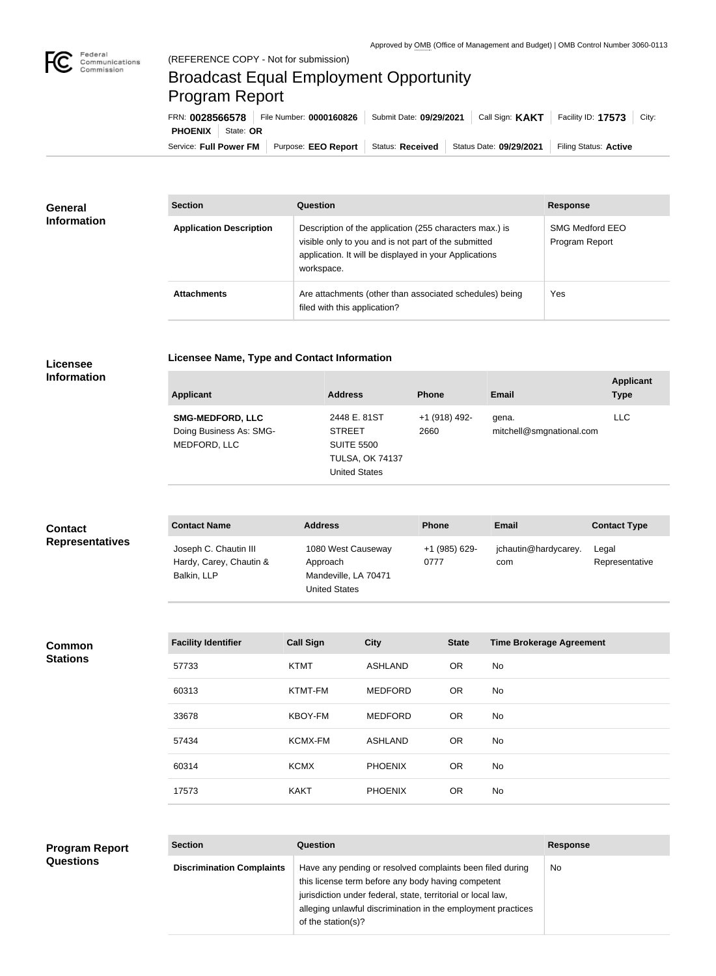

**COL** 

## Broadcast Equal Employment Opportunity Program Report

**Licensee Name, Type and Contact Information**

| FRN: 0028566578            | File Number: 0000160826                    |                  | Submit Date: 09/29/2021   Call Sign: KAKT | Facility ID: $17573$ City: |
|----------------------------|--------------------------------------------|------------------|-------------------------------------------|----------------------------|
| <b>PHOENIX</b>   State: OR |                                            |                  |                                           |                            |
|                            | Service: Full Power FM Purpose: EEO Report | Status: Received | Status Date: 09/29/2021                   | Filing Status: Active      |

| <b>General</b><br><b>Information</b> | <b>Section</b>                 | Question                                                                                                                                                                                | <b>Response</b>                          |
|--------------------------------------|--------------------------------|-----------------------------------------------------------------------------------------------------------------------------------------------------------------------------------------|------------------------------------------|
|                                      | <b>Application Description</b> | Description of the application (255 characters max.) is<br>visible only to you and is not part of the submitted<br>application. It will be displayed in your Applications<br>workspace. | <b>SMG Medford EEO</b><br>Program Report |
|                                      | <b>Attachments</b>             | Are attachments (other than associated schedules) being<br>filed with this application?                                                                                                 | Yes                                      |

## **Licensee Information**

| <b>Applicant</b>                                                   | <b>Address</b>                                                                                       | <b>Phone</b>          | Email                             | <b>Applicant</b><br><b>Type</b> |
|--------------------------------------------------------------------|------------------------------------------------------------------------------------------------------|-----------------------|-----------------------------------|---------------------------------|
| <b>SMG-MEDFORD, LLC</b><br>Doing Business As: SMG-<br>MEDFORD, LLC | 2448 E. 81ST<br><b>STREET</b><br><b>SUITE 5500</b><br><b>TULSA, OK 74137</b><br><b>United States</b> | +1 (918) 492-<br>2660 | gena.<br>mitchell@smgnational.com | <b>LLC</b>                      |

| <b>Contact</b><br><b>Representatives</b> | <b>Contact Name</b>                                             | <b>Address</b>                                                                 | <b>Phone</b>          | Email                       | <b>Contact Type</b>     |
|------------------------------------------|-----------------------------------------------------------------|--------------------------------------------------------------------------------|-----------------------|-----------------------------|-------------------------|
|                                          | Joseph C. Chautin III<br>Hardy, Carey, Chautin &<br>Balkin, LLP | 1080 West Causeway<br>Approach<br>Mandeville, LA 70471<br><b>United States</b> | +1 (985) 629-<br>0777 | jchautin@hardycarey.<br>com | Legal<br>Representative |

**Common Stations**

**Questions**

| <b>Facility Identifier</b> | <b>Call Sign</b> | <b>City</b>    | <b>State</b> | <b>Time Brokerage Agreement</b> |
|----------------------------|------------------|----------------|--------------|---------------------------------|
| 57733                      | <b>KTMT</b>      | <b>ASHLAND</b> | OR.          | <b>No</b>                       |
| 60313                      | KTMT-FM          | <b>MEDFORD</b> | <b>OR</b>    | <b>No</b>                       |
| 33678                      | <b>KBOY-FM</b>   | <b>MEDFORD</b> | <b>OR</b>    | <b>No</b>                       |
| 57434                      | <b>KCMX-FM</b>   | <b>ASHLAND</b> | OR.          | No                              |
| 60314                      | <b>KCMX</b>      | <b>PHOENIX</b> | OR.          | <b>No</b>                       |
| 17573                      | <b>KAKT</b>      | <b>PHOENIX</b> | <b>OR</b>    | No                              |

## **Section Question Response Discrimination Complaints** | Have any pending or resolved complaints been filed during this license term before any body having competent jurisdiction under federal, state, territorial or local law, alleging unlawful discrimination in the employment practices of the station(s)? No **Program Report**